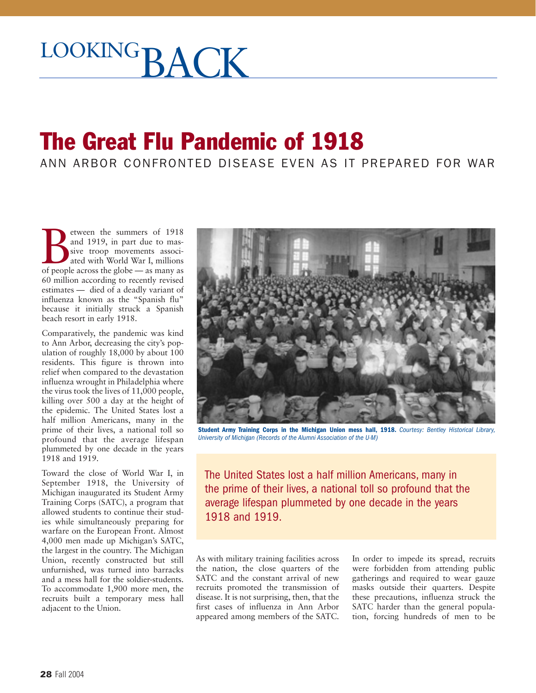## LOOKINGRACK

## The Great Flu Pandemic of 1918

ANN ARBOR CONFRONTED DISEASE EVEN AS IT PREPARED FOR WAR

**Example 1918**<br>
and 1919, in part due to massive troop movements associated with World War I, millions<br>
of people across the globe — as many as and 1919, in part due to massive troop movements associated with World War I, millions 60 million according to recently revised estimates — died of a deadly variant of influenza known as the "Spanish flu" because it initially struck a Spanish beach resort in early 1918.

Comparatively, the pandemic was kind to Ann Arbor, decreasing the city's population of roughly 18,000 by about 100 residents. This figure is thrown into relief when compared to the devastation influenza wrought in Philadelphia where the virus took the lives of  $11,000$  people, killing over 500 a day at the height of the epidemic. The United States lost a half million Americans, many in the prime of their lives, a national toll so profound that the average lifespan plummeted by one decade in the years 1918 and 1919.

Toward the close of World War I, in September 1918, the University of Michigan inaugurated its Student Army Training Corps (SATC), a program that allowed students to continue their studies while simultaneously preparing for warfare on the European Front. Almost 4,000 men made up Michigan's SATC, the largest in the country. The Michigan Union, recently constructed but still unfurnished, was turned into barracks and a mess hall for the soldier-students. To accommodate 1,900 more men, the recruits built a temporary mess hall adjacent to the Union.



**Student Army Training Corps in the Michigan Union mess hall, 1918.** *Courtesy: Bentley Historical Library, University of Michigan (Records of the Alumni Association of the U-M)*

The United States lost a half million Americans, many in the prime of their lives, a national toll so profound that the average lifespan plummeted by one decade in the years 1918 and 1919.

As with military training facilities across the nation, the close quarters of the SATC and the constant arrival of new recruits promoted the transmission of disease. It is not surprising, then, that the first cases of influenza in Ann Arbor appeared among members of the SATC.

In order to impede its spread, recruits were forbidden from attending public gatherings and required to wear gauze masks outside their quarters. Despite these precautions, influenza struck the SATC harder than the general population, forcing hundreds of men to be